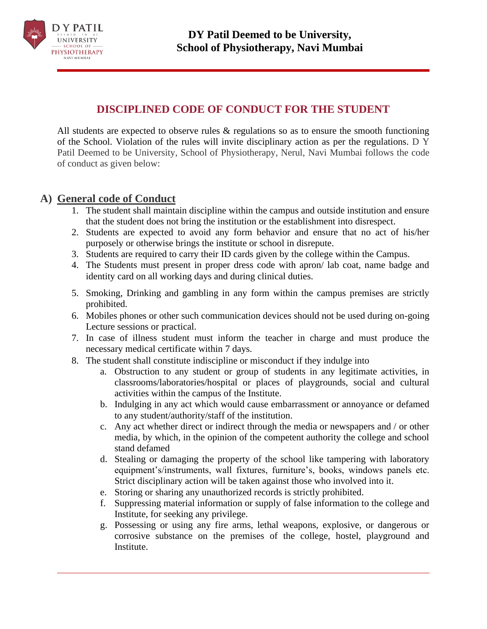

# **DISCIPLINED CODE OF CONDUCT FOR THE STUDENT**

All students are expected to observe rules & regulations so as to ensure the smooth functioning of the School. Violation of the rules will invite disciplinary action as per the regulations. D Y Patil Deemed to be University, School of Physiotherapy, Nerul, Navi Mumbai follows the code of conduct as given below:

### **A) General code of Conduct**

- 1. The student shall maintain discipline within the campus and outside institution and ensure that the student does not bring the institution or the establishment into disrespect.
- 2. Students are expected to avoid any form behavior and ensure that no act of his/her purposely or otherwise brings the institute or school in disrepute.
- 3. Students are required to carry their ID cards given by the college within the Campus.
- 4. The Students must present in proper dress code with apron/ lab coat, name badge and identity card on all working days and during clinical duties.
- 5. Smoking, Drinking and gambling in any form within the campus premises are strictly prohibited.
- 6. Mobiles phones or other such communication devices should not be used during on-going Lecture sessions or practical.
- 7. In case of illness student must inform the teacher in charge and must produce the necessary medical certificate within 7 days.
- 8. The student shall constitute indiscipline or misconduct if they indulge into
	- a. Obstruction to any student or group of students in any legitimate activities, in classrooms/laboratories/hospital or places of playgrounds, social and cultural activities within the campus of the Institute.
	- b. Indulging in any act which would cause embarrassment or annoyance or defamed to any student/authority/staff of the institution.
	- c. Any act whether direct or indirect through the media or newspapers and / or other media, by which, in the opinion of the competent authority the college and school stand defamed
	- d. Stealing or damaging the property of the school like tampering with laboratory equipment's/instruments, wall fixtures, furniture's, books, windows panels etc. Strict disciplinary action will be taken against those who involved into it.
	- e. Storing or sharing any unauthorized records is strictly prohibited.
	- f. Suppressing material information or supply of false information to the college and Institute, for seeking any privilege.
	- g. Possessing or using any fire arms, lethal weapons, explosive, or dangerous or corrosive substance on the premises of the college, hostel, playground and Institute.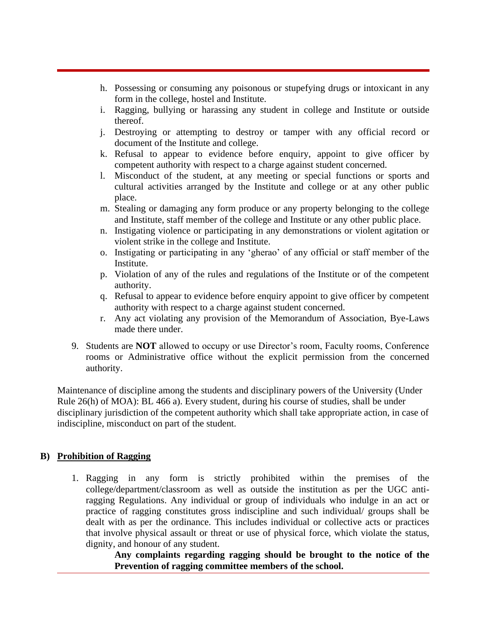- h. Possessing or consuming any poisonous or stupefying drugs or intoxicant in any form in the college, hostel and Institute.
- i. Ragging, bullying or harassing any student in college and Institute or outside thereof.
- j. Destroying or attempting to destroy or tamper with any official record or document of the Institute and college.
- k. Refusal to appear to evidence before enquiry, appoint to give officer by competent authority with respect to a charge against student concerned.
- l. Misconduct of the student, at any meeting or special functions or sports and cultural activities arranged by the Institute and college or at any other public place.
- m. Stealing or damaging any form produce or any property belonging to the college and Institute, staff member of the college and Institute or any other public place.
- n. Instigating violence or participating in any demonstrations or violent agitation or violent strike in the college and Institute.
- o. Instigating or participating in any 'gherao' of any official or staff member of the Institute.
- p. Violation of any of the rules and regulations of the Institute or of the competent authority.
- q. Refusal to appear to evidence before enquiry appoint to give officer by competent authority with respect to a charge against student concerned.
- r. Any act violating any provision of the Memorandum of Association, Bye-Laws made there under.
- 9. Students are **NOT** allowed to occupy or use Director's room, Faculty rooms, Conference rooms or Administrative office without the explicit permission from the concerned authority.

Maintenance of discipline among the students and disciplinary powers of the University (Under Rule 26(h) of MOA): BL 466 a). Every student, during his course of studies, shall be under disciplinary jurisdiction of the competent authority which shall take appropriate action, in case of indiscipline, misconduct on part of the student.

#### **B) Prohibition of Ragging**

1. Ragging in any form is strictly prohibited within the premises of the college/department/classroom as well as outside the institution as per the UGC antiragging Regulations. Any individual or group of individuals who indulge in an act or practice of ragging constitutes gross indiscipline and such individual/ groups shall be dealt with as per the ordinance. This includes individual or collective acts or practices that involve physical assault or threat or use of physical force, which violate the status, dignity, and honour of any student.

**Any complaints regarding ragging should be brought to the notice of the Prevention of ragging committee members of the school.**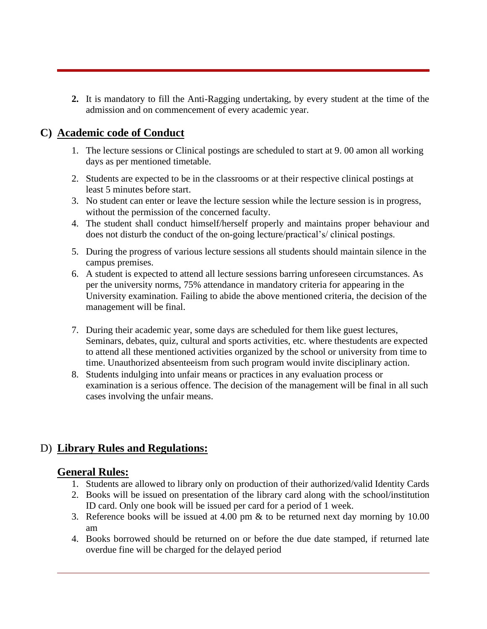**2.** It is mandatory to fill the Anti-Ragging undertaking, by every student at the time of the admission and on commencement of every academic year.

## **C) Academic code of Conduct**

- 1. The lecture sessions or Clinical postings are scheduled to start at 9. 00 amon all working days as per mentioned timetable.
- 2. Students are expected to be in the classrooms or at their respective clinical postings at least 5 minutes before start.
- 3. No student can enter or leave the lecture session while the lecture session is in progress, without the permission of the concerned faculty.
- 4. The student shall conduct himself/herself properly and maintains proper behaviour and does not disturb the conduct of the on-going lecture/practical's/ clinical postings.
- 5. During the progress of various lecture sessions all students should maintain silence in the campus premises.
- 6. A student is expected to attend all lecture sessions barring unforeseen circumstances. As per the university norms, 75% attendance in mandatory criteria for appearing in the University examination. Failing to abide the above mentioned criteria, the decision of the management will be final.
- 7. During their academic year, some days are scheduled for them like guest lectures, Seminars, debates, quiz, cultural and sports activities, etc. where thestudents are expected to attend all these mentioned activities organized by the school or university from time to time. Unauthorized absenteeism from such program would invite disciplinary action.
- 8. Students indulging into unfair means or practices in any evaluation process or examination is a serious offence. The decision of the management will be final in all such cases involving the unfair means.

# D) **Library Rules and Regulations:**

### **General Rules:**

- 1. Students are allowed to library only on production of their authorized/valid Identity Cards
- 2. Books will be issued on presentation of the library card along with the school/institution ID card. Only one book will be issued per card for a period of 1 week.
- 3. Reference books will be issued at 4.00 pm & to be returned next day morning by 10.00 am
- 4. Books borrowed should be returned on or before the due date stamped, if returned late overdue fine will be charged for the delayed period